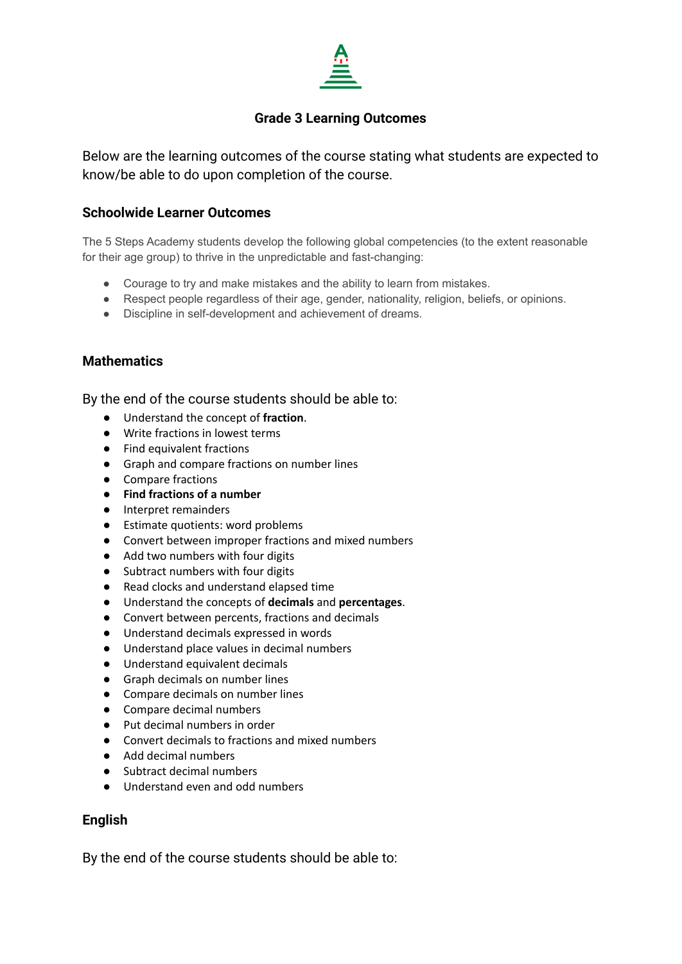

# **Grade 3 Learning Outcomes**

Below are the learning outcomes of the course stating what students are expected to know/be able to do upon completion of the course.

## **Schoolwide Learner Outcomes**

The 5 Steps Academy students develop the following global competencies (to the extent reasonable for their age group) to thrive in the unpredictable and fast-changing:

- Courage to try and make mistakes and the ability to learn from mistakes.
- Respect people regardless of their age, gender, nationality, religion, beliefs, or opinions.
- Discipline in self-development and achievement of dreams.

## **Mathematics**

By the end of the course students should be able to:

- Understand the concept of **fraction**.
- Write fractions in lowest terms
- Find equivalent fractions
- Graph and compare fractions on number lines
- Compare fractions
- **Find fractions of a number**
- Interpret remainders
- Estimate quotients: word problems
- Convert between improper fractions and mixed numbers
- Add two numbers with four digits
- Subtract numbers with four digits
- Read clocks and understand elapsed time
- Understand the concepts of **decimals** and **percentages**.
- Convert between percents, fractions and decimals
- Understand decimals expressed in words
- Understand place values in decimal numbers
- Understand equivalent decimals
- Graph decimals on number lines
- Compare decimals on number lines
- Compare decimal numbers
- Put decimal numbers in order
- Convert decimals to fractions and mixed numbers
- Add decimal numbers
- Subtract decimal numbers
- Understand even and odd numbers

## **English**

By the end of the course students should be able to: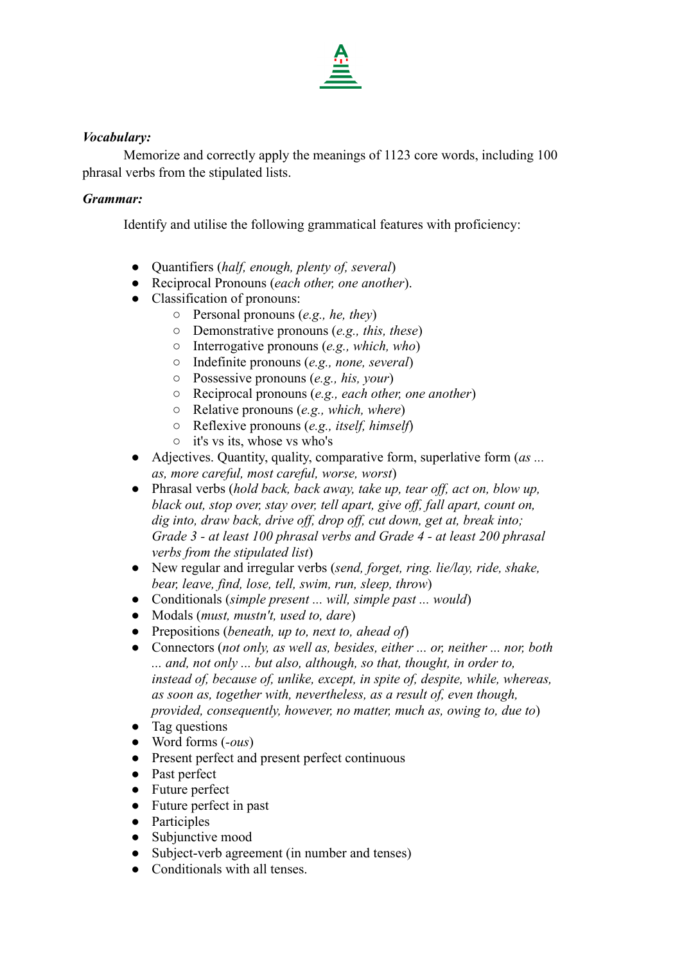

## *Vocabulary:*

Memorize and correctly apply the meanings of 1123 core words, including 100 phrasal verbs from the stipulated lists.

## *Grammar:*

Identify and utilise the following grammatical features with proficiency:

- Quantifiers (*half, enough, plenty of, several*)
- Reciprocal Pronouns (*each other, one another*).
- Classification of pronouns:
	- Personal pronouns (*e.g., he, they*)
		- Demonstrative pronouns (*e.g., this, these*)
		- Interrogative pronouns (*e.g., which, who*)
		- Indefinite pronouns (*e.g., none, several*)
		- Possessive pronouns (*e.g., his, your*)
		- Reciprocal pronouns (*e.g., each other, one another*)
		- Relative pronouns (*e.g., which, where*)
		- Reflexive pronouns (*e.g., itself, himself*)
		- $\circ$  it's vs its, whose vs who's
- Adjectives. Quantity, quality, comparative form, superlative form (*as ... as, more careful, most careful, worse, worst*)
- Phrasal verbs (*hold back, back away, take up, tear off, act on, blow up, black out, stop over, stay over, tell apart, give off, fall apart, count on, dig into, draw back, drive off, drop off, cut down, get at, break into; Grade 3 - at least 100 phrasal verbs and Grade 4 - at least 200 phrasal verbs from the stipulated list*)
- New regular and irregular verbs (*send, forget, ring. lie/lay, ride, shake, bear, leave, find, lose, tell, swim, run, sleep, throw*)
- Conditionals (*simple present ... will, simple past ... would*)
- Modals (*must, mustn't, used to, dare*)
- Prepositions (*beneath, up to, next to, ahead of*)
- Connectors (*not only, as well as, besides, either ... or, neither ... nor, both ... and, not only ... but also, although, so that, thought, in order to, instead of, because of, unlike, except, in spite of, despite, while, whereas, as soon as, together with, nevertheless, as a result of, even though, provided, consequently, however, no matter, much as, owing to, due to*)
- Tag questions
- Word forms (*-ous*)
- Present perfect and present perfect continuous
- Past perfect
- Future perfect
- Future perfect in past
- Participles
- Subjunctive mood
- Subject-verb agreement (in number and tenses)
- Conditionals with all tenses.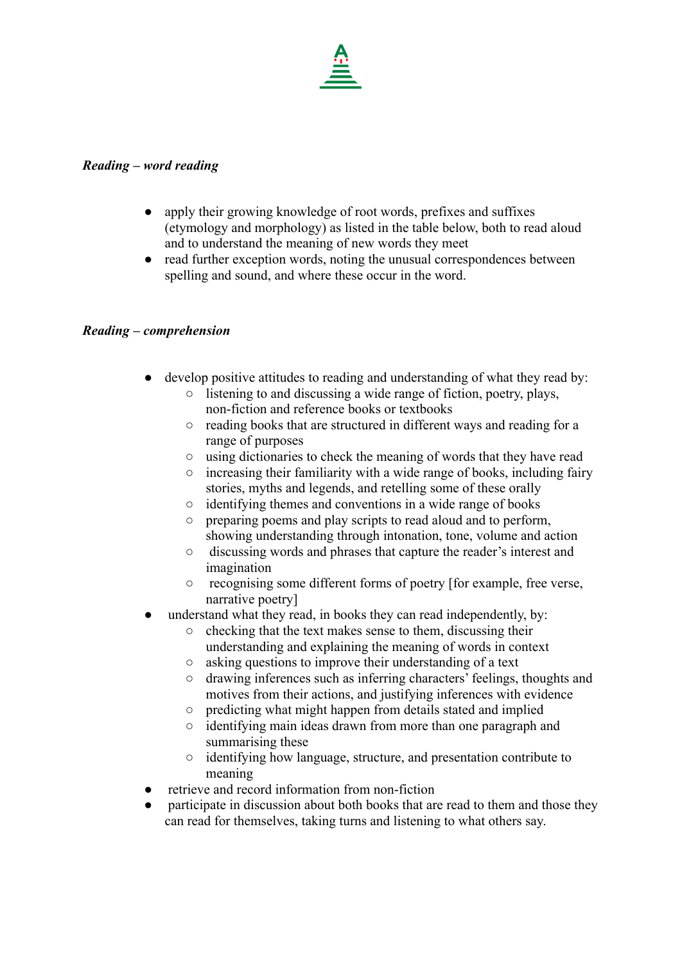

#### *Reading – word reading*

- apply their growing knowledge of root words, prefixes and suffixes (etymology and morphology) as listed in the table below, both to read aloud and to understand the meaning of new words they meet
- read further exception words, noting the unusual correspondences between spelling and sound, and where these occur in the word.

#### *Reading – comprehension*

- develop positive attitudes to reading and understanding of what they read by:
	- listening to and discussing a wide range of fiction, poetry, plays, non-fiction and reference books or textbooks
	- reading books that are structured in different ways and reading for a range of purposes
	- using dictionaries to check the meaning of words that they have read
	- increasing their familiarity with a wide range of books, including fairy stories, myths and legends, and retelling some of these orally
	- identifying themes and conventions in a wide range of books
	- preparing poems and play scripts to read aloud and to perform, showing understanding through intonation, tone, volume and action
	- discussing words and phrases that capture the reader's interest and imagination
	- recognising some different forms of poetry [for example, free verse, narrative poetry]
- understand what they read, in books they can read independently, by:
	- checking that the text makes sense to them, discussing their understanding and explaining the meaning of words in context
	- asking questions to improve their understanding of a text
	- drawing inferences such as inferring characters' feelings, thoughts and motives from their actions, and justifying inferences with evidence
	- predicting what might happen from details stated and implied
	- identifying main ideas drawn from more than one paragraph and summarising these
	- identifying how language, structure, and presentation contribute to meaning
- retrieve and record information from non-fiction
- participate in discussion about both books that are read to them and those they can read for themselves, taking turns and listening to what others say.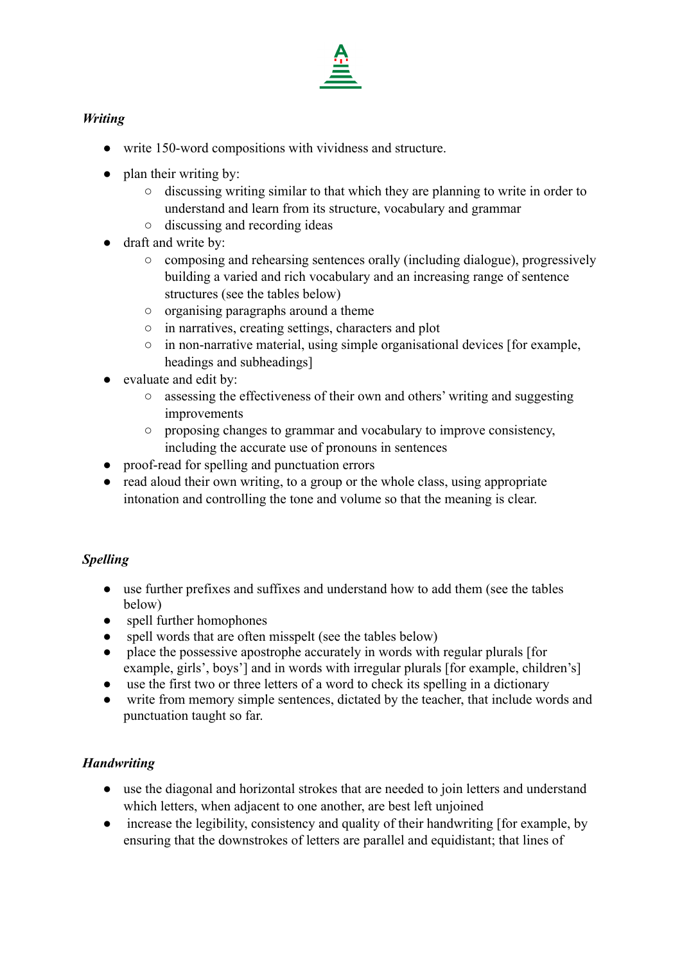

## *Writing*

- write 150-word compositions with vividness and structure.
- plan their writing by:
	- discussing writing similar to that which they are planning to write in order to understand and learn from its structure, vocabulary and grammar
	- discussing and recording ideas
- draft and write by:
	- composing and rehearsing sentences orally (including dialogue), progressively building a varied and rich vocabulary and an increasing range of sentence structures (see the tables below)
	- organising paragraphs around a theme
	- in narratives, creating settings, characters and plot
	- in non-narrative material, using simple organisational devices [for example, headings and subheadings]
- evaluate and edit by:
	- assessing the effectiveness of their own and others' writing and suggesting improvements
	- proposing changes to grammar and vocabulary to improve consistency, including the accurate use of pronouns in sentences
- proof-read for spelling and punctuation errors
- read aloud their own writing, to a group or the whole class, using appropriate intonation and controlling the tone and volume so that the meaning is clear.

# *Spelling*

- use further prefixes and suffixes and understand how to add them (see the tables below)
- spell further homophones
- spell words that are often misspelt (see the tables below)
- place the possessive apostrophe accurately in words with regular plurals [for example, girls', boys'] and in words with irregular plurals [for example, children's]
- $\bullet$  use the first two or three letters of a word to check its spelling in a dictionary
- write from memory simple sentences, dictated by the teacher, that include words and punctuation taught so far.

# *Handwriting*

- use the diagonal and horizontal strokes that are needed to join letters and understand which letters, when adjacent to one another, are best left unjoined
- increase the legibility, consistency and quality of their handwriting [for example, by ensuring that the downstrokes of letters are parallel and equidistant; that lines of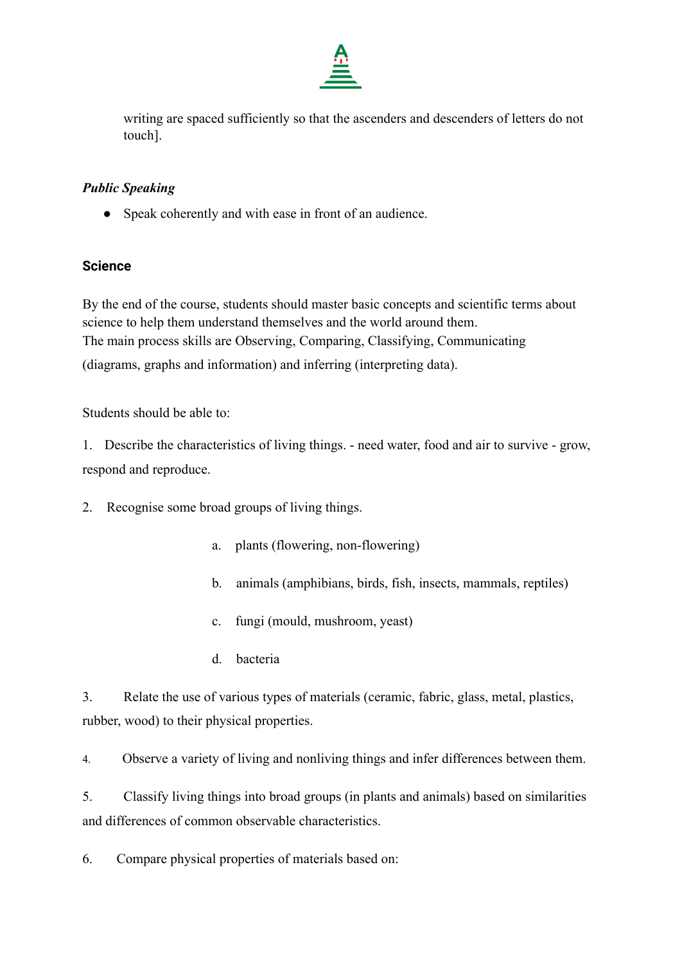

writing are spaced sufficiently so that the ascenders and descenders of letters do not touch].

## *Public Speaking*

• Speak coherently and with ease in front of an audience.

## **Science**

By the end of the course, students should master basic concepts and scientific terms about science to help them understand themselves and the world around them. The main process skills are Observing, Comparing, Classifying, Communicating

(diagrams, graphs and information) and inferring (interpreting data).

Students should be able to:

1. Describe the characteristics of living things. - need water, food and air to survive - grow, respond and reproduce.

2. Recognise some broad groups of living things.

- a. plants (flowering, non-flowering)
- b. animals (amphibians, birds, fish, insects, mammals, reptiles)
- c. fungi (mould, mushroom, yeast)
- d. bacteria

3. Relate the use of various types of materials (ceramic, fabric, glass, metal, plastics, rubber, wood) to their physical properties.

4. Observe a variety of living and nonliving things and infer differences between them.

5. Classify living things into broad groups (in plants and animals) based on similarities and differences of common observable characteristics.

6. Compare physical properties of materials based on: